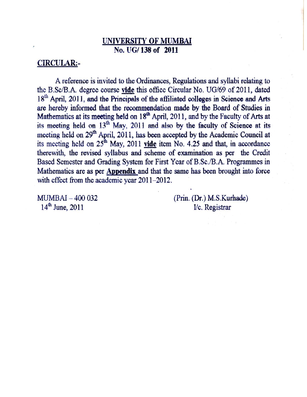# UNIVERSITY OF MUMBAI No. UG/138 of 2011

# **CIRCULAR:-**

A reference is invited to the Ordinances, Regulations and syllabi relating to the B.Sc/B.A. degree course vide this office Circular No. UG/69 of 2011, dated 18<sup>th</sup> April, 2011, and the Principals of the affiliated colleges in Science and Arts are hereby informed that the recommendation made by the Board of Studies in Mathematics at its meeting held on 18<sup>th</sup> April, 2011, and by the Faculty of Arts at its meeting held on 13<sup>th</sup> May, 2011 and also by the faculty of Science at its meeting held on 29<sup>th</sup> April, 2011, has been accepted by the Academic Council at its meeting held on  $25^{\text{th}}$  May, 2011 vide item No. 4.25 and that, in accordance therewith, the revised syllabus and scheme of examination as per the Credit Based Semester and Grading System for First Year of B.Sc./B.A. Programmes in Mathematics are as per Appendix and that the same has been brought into force with effect from the academic year 2011-2012.

MUMBAI - 400 032  $14^{th}$  June, 2011

(Prin. (Dr.) M.S.Kurhade) I/c. Registrar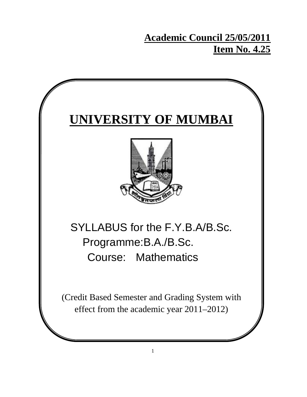# **Academic Council 25/05/2011 Item No. 4.25**

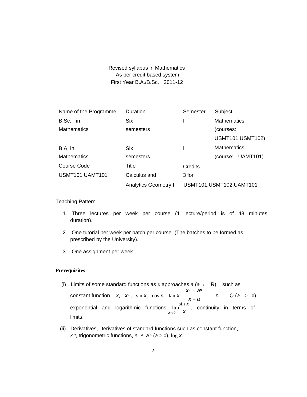# Revised syllabus in Mathematics As per credit based system First Year B.A./B.Sc. 2011-12

| Name of the Programme   | Duration                    | Semester | Subject                   |
|-------------------------|-----------------------------|----------|---------------------------|
| B.Sc. in                | <b>Six</b>                  |          | <b>Mathematics</b>        |
| <b>Mathematics</b>      | semesters                   |          | (courses:                 |
|                         |                             |          | <b>USMT101, USMT102)</b>  |
| B.A. in                 | Six.                        |          | <b>Mathematics</b>        |
| <b>Mathematics</b>      | semesters                   |          | (course: UAMT101)         |
| Course Code             | Title                       | Credits  |                           |
| <b>USMT101, UAMT101</b> | Calculus and                | 3 for    |                           |
|                         | <b>Analytics Geometry I</b> |          | USMT101, USMT102, UAMT101 |

Teaching Pattern

- 1. Three lectures per week per course (1 lecture/period is of 48 minutes duration).
- 2. One tutorial per week per batch per course. (The batches to be formed as prescribed by the University).
- 3. One assignment per week.

# **Prerequisites**

- (i) Limits of some standard functions as x approaches  $a (a \in R)$ , such as *x n* − *an*  constant function,  $x$ ,  $x^n$ ,  $\sin x$ ,  $\cos x$ ,  $\tan x$ ,  $x - a$   $n \in Q$  (*a* > 0), exponential and logarithmic functions, lim *x*→0 limits.  $\frac{\sin x}{x}$ , continuity in terms of
- (ii) Derivatives, Derivatives of standard functions such as constant function, *x*<sup>*n*</sup>, trigonometric functions,  $e^{x}$ ,  $a^{x}$  ( $a > 0$ ), log *x*.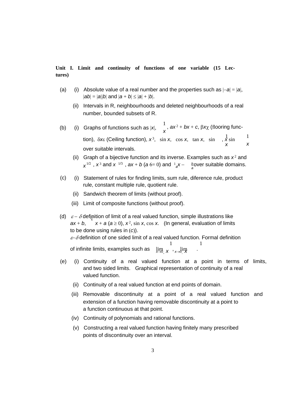**Unit I. Limit and continuity of functions of one variable (15 Lectures)** 

- (a) (i) Absolute value of a real number and the properties such as |−*a*| = |*a*|,  $|ab| = |a||b|$  and  $|a + b| \le |a| + |b|$ .
	- (ii) Intervals in R, neighbourhoods and deleted neighbourhoods of a real number, bounded subsets of R.
- (i) Graphs of functions such as  $|x|$ ,  $\frac{1}{x}$ *,*  $ax^2 + bx + c$ *, βx*χ (flooring func-1 tion), δ*x*ε (Ceiling function), *x*<sup>3</sup>, sin *x*, cos *x*, tan *x*, sin , *x* sin (b) *x* over suitable intervals. 1 *x*
	- (ii) Graph of a bijective function and its inverse. Examples such as *x*<sup>2</sup> and  $x^{1/2}$ ,  $x^3$  and  $x^{-1/3}$ ,  $ax + b$  ( $a$  6= 0) and  $a^1$ <sub>a</sub> $x - \frac{b}{a}$  over suitable domains.
- (c) (i) Statement of rules for finding limits, sum rule, diference rule, product rule, constant multiple rule, quotient rule.
	- (ii) Sandwich theorem of limits (without proof).
	- (iii) Limit of composite functions (without proof).
- (d)  $\varepsilon \delta$  definition of limit of a real valued function, simple illustrations like  $ax + b$ ,  $x + a$  ( $a \ge 0$ ),  $x^2$ , sin x, cos x. (In general, evaluation of limits to be done using rules in (*c*)).  $\varepsilon$ − $\delta$  definition of one sided limit of a real valued function. Formal definition 1 1 of infinite limits, examples such as  $\lim_{x\to 0_+} x$ ,  $\lim_{x\to 0_-} x$ .
- (e) (i) Continuity of a real valued function at a point in terms of limits, and two sided limits. Graphical representation of continuity of a real valued function.
	- (ii) Continuity of a real valued function at end points of domain.
	- (iii) Removable discontinuity at a point of a real valued function and extension of a function having removable discontinuity at a point to a function continuous at that point.
	- (iv) Continuity of polynomials and rational functions.
	- (v) Constructing a real valued function having finitely many prescribed points of discontinuity over an interval.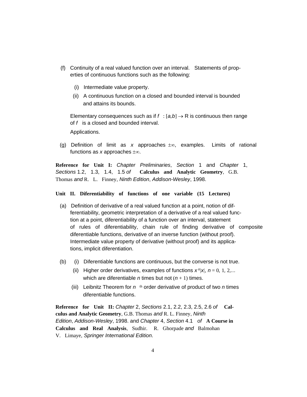- (f) Continuity of a real valued function over an interval. Statements of properties of continuous functions such as the following:
	- (i) Intermediate value property.
	- (ii) A continuous function on a closed and bounded interval is bounded and attains its bounds.

Elementary consequences such as if  $f : [a,b] \to \mathsf{R}$  is continuous then range of *f* is a closed and bounded interval.

Applications.

(g) Definition of limit as *x* approaches ±∞, examples. Limits of rational functions as *x* approaches ±∞.

**Reference for Unit I:** *Chapter Preliminaries*, *Section* 1 and *Chapter* 1, *Sections* 1.2, 1.3, 1.4, 1.5 *of* **Calculus and Analytic Geometry**, G.B. Thomas *and* R. L. Finney, *Ninth Edition*, *Addison-Wesley*, 1998.

# **Unit II. Diferentiability of functions of one variable (15 Lectures)**

- (a) Definition of derivative of a real valued function at a point, notion of differentiability, geometric interpretation of a derivative of a real valued function at a point, diferentiability of a function over an interval, statement of rules of diferentiability, chain rule of finding derivative of composite diferentiable functions, derivative of an inverse function (without proof). Intermediate value property of derivative (without proof) and its applications, implicit diferentiation.
- (b) (i) Diferentiable functions are continuous, but the converse is not true.
	- (ii) Higher order derivatives, examples of functions  $x^n |x|$ ,  $n = 0, 1, 2,...$ which are diferentiable *n* times but not  $(n + 1)$  times.
	- (iii) Leibnitz Theorem for *n* th order derivative of product of two *n* times diferentiable functions.

**Reference for Unit II:** *Chapter* 2, *Sections* 2.1, 2.2, 2.3, 2.5, 2.6 *of* **Calculus and Analytic Geometry**, G.B. Thomas *and* R. L. Finney, *Ninth Edition*, *Addison-Wesley*, 1998. and *Chapter* 4, *Section* 4.1 *of* **A Course in Calculus and Real Analysis**, Sudhir. R. Ghorpade *and* Balmohan V. Limaye, *Springer International Edition*.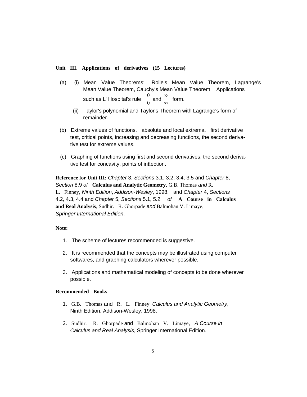## **Unit III. Applications of derivatives (15 Lectures)**

- (a) (i) Mean Value Theorems: Rolle's Mean Value Theorem, Lagrange's Mean Value Theorem, Cauchy's Mean Value Theorem. Applications such as L' Hospital's rule 0  $\int_0$  and ∞ ∞ form.
	- (ii) Taylor's polynomial and Taylor's Theorem with Lagrange's form of remainder.
- (b) Extreme values of functions, absolute and local extrema, first derivative test, critical points, increasing and decreasing functions, the second derivative test for extreme values.
- (c) Graphing of functions using first and second derivatives, the second derivative test for concavity, points of inflection.

**Reference for Unit III:** *Chapter* 3, *Sections* 3.1, 3.2, 3.4, 3.5 and *Chapter* 8, *Section* 8.9 *of* **Calculus and Analytic Geometry**, G.B. Thomas *and* R.

L. Finney, *Ninth Edition*, *Addison-Wesley*, 1998. and *Chapter* 4, *Sections*  4.2, 4.3, 4.4 and *Chapter* 5, *Sections* 5.1, 5.2 *of* **A Course in Calculus and Real Analysis**, Sudhir. R. Ghorpade *and* Balmohan V. Limaye, *Springer International Edition*.

# **Note:**

- 1. The scheme of lectures recommended is suggestive.
- 2. It is recommended that the concepts may be illustrated using computer softwares, and graphing calculators wherever possible.
- 3. Applications and mathematical modeling of concepts to be done wherever possible.

# **Recommended Books**

- 1. G.B. Thomas and R. L. Finney, *Calculus and Analytic Geometry*, Ninth Edition, Addison-Wesley, 1998.
- 2. Sudhir. R. Ghorpade and Balmohan V. Limaye, *A Course in Calculus and Real Analysis*, Springer International Edition.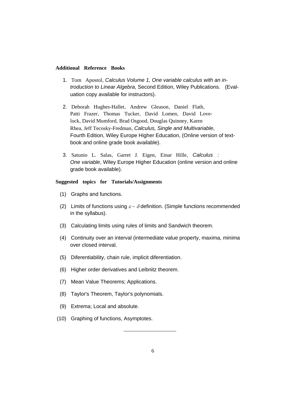#### **Additional Reference Books**

- 1. Tom Apostol, *Calculus Volume 1, One variable calculus with an introduction to Linear Algebra*, Second Edition, Wiley Publications. (Evaluation copy available for instructors).
- 2. Deborah Hughes-Hallet, Andrew Gleason, Daniel Flath, Patti Frazer, Thomas Tucker, David Lomen, David Lovelock, David Mumford, Brad Osgood, Douglas Quinney, Karen Rhea, Jeff Tecosky-Fredman, *Calculus, Single and Multivariable*, Fourth Edition, Wiley Europe Higher Education, (Online version of textbook and online grade book available).
- 3. Satunio L. Salas, Garret J. Eigen, Einar Hille, *Calculus : One variable*, Wiley Europe Higher Education (online version and online grade book available).

# **Suggested topics for Tutorials/Assignments**

- (1) Graphs and functions.
- (2) Limits of functions using  $\varepsilon \delta$  definition. (Simple functions recommended in the syllabus).
- (3) Calculating limits using rules of limits and Sandwich theorem.
- (4) Continuity over an interval (intermediate value property, maxima, minima over closed interval.
- (5) Diferentiability, chain rule, implicit diferentiation.
- (6) Higher order derivatives and Leibnitz theorem.
- (7) Mean Value Theorems; Applications.
- (8) Taylor's Theorem, Taylor's polynomials.
- (9) Extrema; Local and absolute.
- (10) Graphing of functions, Asymptotes.

——————————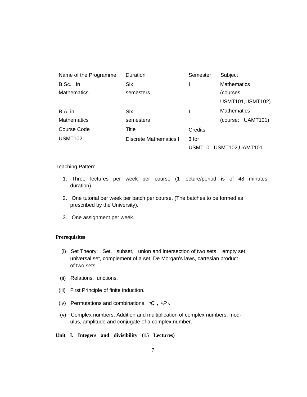| Name of the Programme | Duration                      | Semester | Subject                   |
|-----------------------|-------------------------------|----------|---------------------------|
| B.Sc. in              | <b>Six</b>                    |          | <b>Mathematics</b>        |
| <b>Mathematics</b>    | semesters                     |          | (courses:                 |
|                       |                               |          | <b>USMT101, USMT102)</b>  |
| B.A. in               | <b>Six</b>                    |          | <b>Mathematics</b>        |
| <b>Mathematics</b>    | semesters                     |          | (course: UAMT101)         |
| Course Code           | Title                         | Credits  |                           |
| <b>USMT102</b>        | <b>Discrete Mathematics I</b> | 3 for    |                           |
|                       |                               |          | USMT101, USMT102, UAMT101 |

# Teaching Pattern

- 1. Three lectures per week per course (1 lecture/period is of 48 minutes duration).
- 2. One tutorial per week per batch per course. (The batches to be formed as prescribed by the University).
- 3. One assignment per week.

# **Prerequisites**

- (i) Set Theory: Set, subset, union and intersection of two sets, empty set, universal set, complement of a set, De Morgan's laws, cartesian product of two sets.
- (ii) Relations, functions.
- (iii) First Principle of finite induction.
- (iv) Permutations and combinations,  ${}^nC_r$ ,  ${}^nP_r$ .
- (v) Complex numbers: Addition and multiplication of complex numbers, modulus, amplitude and conjugate of a complex number.

**Unit I. Integers and divisibility (15 Lectures)**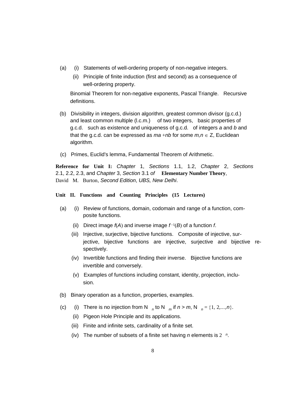- (a) (i) Statements of well-ordering property of non-negative integers.
	- (ii) Principle of finite induction (first and second) as a consequence of well-ordering property.

Binomial Theorem for non-negative exponents, Pascal Triangle. Recursive definitions.

- (b) Divisibility in integers, division algorithm, greatest common divisor (g.c.d.) and least common multiple (I.c.m.) of two integers, basic properties of g.c.d. such as existence and uniqueness of g.c.d. of integers *a* and *b* and that the g.c.d. can be expressed as  $ma + nb$  for some  $m, n \in \mathbb{Z}$ , Euclidean algorithm.
- (c) Primes, Euclid's lemma, Fundamental Theorem of Arithmetic.

**Reference for Unit I:** *Chapter* 1, *Sections* 1.1, 1.2, *Chapter* 2, *Sections*  2.1, 2.2, 2.3, and *Chapter* 3, *Section* 3.1 *of* **Elementary Number Theory**, David M. Burton, *Second Edition*, *UBS, New Delhi*.

# **Unit II. Functions and Counting Principles (15 Lectures)**

- (a) (i) Review of functions, domain, codomain and range of a function, composite functions.
	- (ii) Direct image *f*(*A*) and inverse image *f*<sup>−</sup>1(*B*) of a function *f*.
	- (iii) Injective, surjective, bijective functions. Composite of injective, surjective, bijective functions are injective, surjective and bijective respectively.
	- (iv) Invertible functions and finding their inverse. Bijective functions are invertible and conversely.
	- (v) Examples of functions including constant, identity, projection, inclusion.
- (b) Binary operation as a function, properties, examples.
- (c) (i) There is no injection from N  $_n$  to N  $_m$  if  $n > m$ , N  $_n = \{1, 2, ..., n\}$ .
	- (ii) Pigeon Hole Principle and its applications.
	- (iii) Finite and infinite sets, cardinality of a finite set.
	- (iv) The number of subsets of a finite set having *n* elements is 2 *<sup>n</sup>*.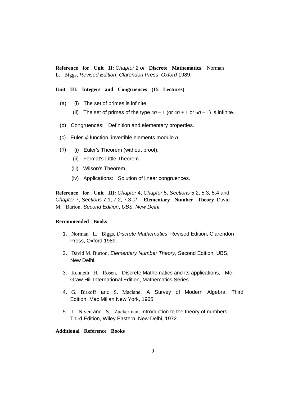**Reference for Unit II:** *Chapter* 2 *of* **Discrete Mathematics**, Norman L. Biggs, *Revised Edition*, *Clarendon Press*, *Oxford* 1989.

**Unit III. Integers and Congruences (15 Lectures)** 

- (a) (i) The set of primes is infinite.
	- (ii) The set of primes of the type  $4n-1$  (or  $4n+1$  or  $6n-1$ ) is infinite.
- (b) Congruences: Definition and elementary properties.
- (c) Euler- $\phi$  function, invertible elements modulo  $n$
- (d) (i) Euler's Theorem (without proof).
	- (ii) Fermat's Little Theorem.
	- (iii) Wilson's Theorem.
	- (iv) Applications: Solution of linear congruences.

**Reference for Unit III:** *Chapter* 4, *Chapter* 5, *Sections* 5.2, 5.3, 5.4 and *Chapter* 7, *Sections* 7.1, 7.2, 7.3 *of* **Elementary Number Theory**, David M. Burton, *Second Edition*, *UBS, New Delhi*.

#### **Recommended Books**

- 1. Norman L. Biggs, *Discrete Mathematics*, Revised Edition, Clarendon Press, Oxford 1989.
- 2. David M. Burton, *Elementary Number Theory*, Second Edition, UBS, New Delhi.
- 3. Kenneth H. Rosen, Discrete Mathematics and its applications, Mc-Graw Hill International Edition, Mathematics Series.
- 4. G. Birkoff and S. Maclane, A Survey of Modern Algebra, Third Edition, Mac Millan,New York, 1965.
- 5. I. Niven and S. Zuckerman, Introduction to the theory of numbers, Third Edition, Wiley Eastern, New Delhi, 1972.

# **Additional Reference Books**